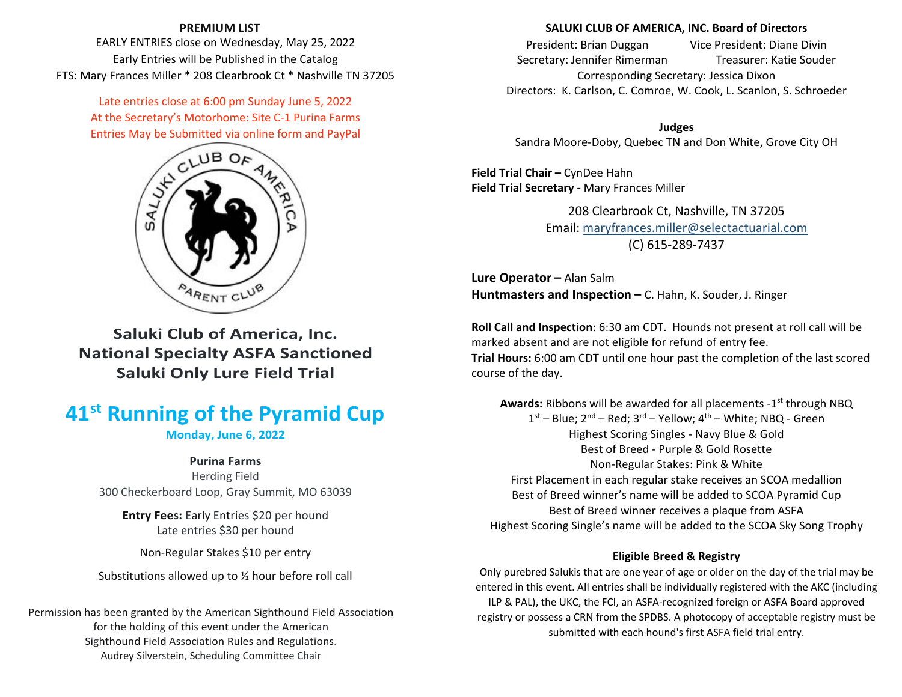# **PREMIUM LIST**

EARLY ENTRIES close on Wednesday, May 25, 2022 Early Entries will be Published in the Catalog FTS: Mary Frances Miller \* 208 Clearbrook Ct \* Nashville TN 37205

> Late entries close at 6:00 pm Sunday June 5, 2022 At the Secretary's Motorhome: Site C‐1 Purina Farms Entries May be Submitted via online form and PayPal



**Saluki Club of America, Inc. National Specialty ASFA Sanctioned Saluki Only Lure Field Trial**

# **41s<sup>t</sup> Running of the Pyramid Cup**

**Monday, June 6, 2022**

# **Purina Farms**

Herding Field 300 Checkerboard Loop, Gray Summit, MO 63039

**Entry Fees:** Early Entries \$20 per hound Late entries \$30 per hound

Non‐Regular Stakes \$10 per entry

Substitutions allowed up to ½ hour before roll call

Permission has been granted by the American Sighthound Field Association for the holding of this event under the American Sighthound Field Association Rules and Regulations. Audrey Silverstein, Scheduling Committee Chair

# **SALUKI CLUB OF AMERICA, INC. Board of Directors**

President: BrianVice President: Diane Divin Secretary: Jennifer Rimerman Treasurer: Katie Souder Corresponding Secretary: Jessica Dixon Directors: K. Carlson, C. Comroe, W. Cook, L. Scanlon, S. Schroeder

**Judges** Sandra Moore‐Doby, Quebec TN and Don White, Grove City OH

**Field Trial Chair –** CynDee Hahn **Field Trial Secretary ‐** Mary Frances Miller

> 208 Clearbrook Ct, Nashville, TN 37205 Email: maryfrances.miller@selectactuarial.com (C) 615‐289‐7437

**Lure Operator –** Alan Salm **Huntmasters and Inspection –** C. Hahn, K. Souder, J. Ringer

**Roll Call and Inspection**: 6:30 am CDT. Hounds not present at roll call will be marked absent and are not eligible for refund of entry fee. **Trial Hours:** 6:00 am CDT until one hour past the completion of the last scored course of the day.

**Awards:** Ribbons will be awarded for all placements ‐1s<sup>t</sup> through NBQ  $1^{\rm st}$  – Blue; 2 $^{\rm nd}$  – Red; 3 $^{\rm rd}$  – Yellow; 4 $^{\rm th}$  – White; NBQ - Green Highest Scoring Singles ‐ Navy Blue & Gold Best of Breed ‐ Purple & Gold Rosette Non‐Regular Stakes: Pink & White First Placement in each regular stake receives an SCOA medallion Best of Breed winner's name will be added to SCOA Pyramid Cup Best of Breed winner receives <sup>a</sup> plaque from ASFA Highest Scoring Single's name will be added to the SCOA Sky Song Trophy

# **Eligible Breed & Registry**

Only purebred Salukis that are one year of age or older on the day of the trial may be entered in this event. All entries shall be individually registered with the AKC (including ILP & PAL), the UKC, the FCI, an ASFA‐recognized foreign or ASFA Board approved registry or possess <sup>a</sup> CRN from the SPDBS. A photocopy of acceptable registry must be submitted with each hound's first ASFA field trial entry.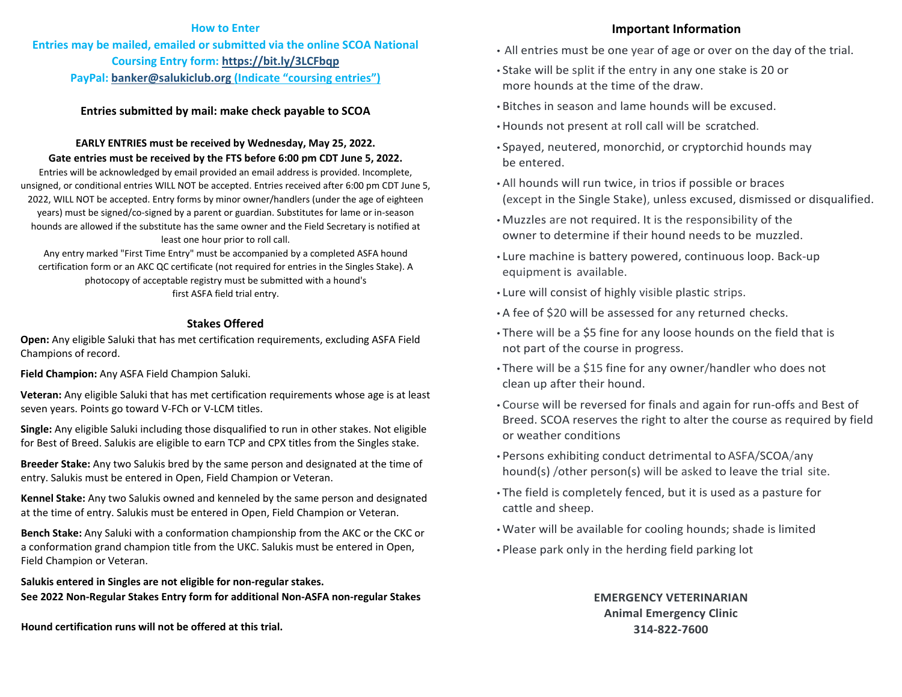### **How to Enter**

**Entries may be mailed, emailed or submitted via the online SCOA National Coursing Entry form: https://bit.ly/3LCFbqp PayPal: banker@salukiclub.org (Indicate "coursing entries")**

# **Entries submitted by mail: make check payable to SCOA**

# **EARLY ENTRIES must be received by Wednesday, May 25, 2022. Gate entries must be received by the FTS before 6:00 pm CDT June 5, 2022.**

Entries will be acknowledged by email provided an email address is provided. Incomplete, unsigned, or conditional entries WILL NOT be accepted. Entries received after 6:00 pm CDT June 5, 2022, WILL NOT be accepted. Entry forms by minor owner/handlers (under the age of eighteen years) must be signed/co-signed by a parent or guardian. Substitutes for lame or in-season hounds are allowed if the substitute has the same owner and the Field Secretary is notified at least one hour prior to roll call.

Any entry marked "First Time Entry" must be accompanied by <sup>a</sup> completed ASFA hound certification form or an AKC QC certificate (not required for entries in the Singles Stake). A photocopy of acceptable registry must be submitted with <sup>a</sup> hound's first ASFA field trial entry.

## **Stakes Offered**

**Open:** Any eligible Saluki that has met certification requirements, excluding ASFA Field Champions of record.

**Field Champion:** Any ASFA Field Champion Saluki.

**Veteran:** Any eligible Saluki that has met certification requirements whose age is at least seven years. Points go toward V‐FCh or V‐LCM titles.

**Single:** Any eligible Saluki including those disqualified to run in other stakes. Not eligible for Best of Breed. Salukis are eligible to earn TCP and CPX titles from the Singles stake.

**Breeder Stake:** Any two Salukis bred by the same person and designated at the time of entry. Salukis must be entered in Open, Field Champion or Veteran.

**Kennel Stake:** Any two Salukis owned and kenneled by the same person and designated at the time of entry. Salukis must be entered in Open, Field Champion or Veteran.

**Bench Stake:** Any Saluki with <sup>a</sup> conformation championship from the AKC or the CKC or a conformation grand champion title from the UKC. Salukis must be entered in Open, Field Champion or Veteran.

**Salukis entered in Singles are not eligible for non‐regular stakes. See 2022 Non‐Regular Stakes Entry form for additional Non‐ASFA non‐regular Stakes**

**Hound certification runs will not be offered at this trial.**

## **Important Information**

- All entries must be one year of age or over on the day of the trial.
- Stake will be split if the entry in any one stake is <sup>20</sup> or more hounds at the time of the draw.
- Bitches in season and lame hounds will be excused.
- Hounds not present at roll call will be scratched.
- Spayed, neutered, monorchid, or cryptorchid hounds may be entered.
- All hounds will run twice, in trios if possible or braces (except in the Single Stake), unless excused, dismissed or disqualified.
- Muzzles are not required. It is the responsibility of the owner to determine if their hound needs to be muzzled.
- Lure machine is battery powered, continuous loop. Back‐upequipment is available.
- Lure will consist of highly visible plastic strips.
- A fee of \$20 will be assessed for any returned checks.
- There will be <sup>a</sup> \$5 fine for any loose hounds on the field that is not part of the course in progress.
- There will be <sup>a</sup> \$15 fine for any owner/handler who does not clean up after their hound.
- Course will be reversed for finals and again for run‐offs and Best of Breed. SCOA reserves the right to alter the course as required by field or weather conditions
- Persons exhibiting conduct detrimental to ASF A/SCOA/anyhound(s) /other person(s) will be asked to leave the trial site.
- The field is completely fenced, but it is used as <sup>a</sup> pasture for cattle and sheep.
- Water will be available for cooling hounds; shade is limited
- Please park only in the herding field parking lot

**EMERGENCY VETERINARIANAnimal Emergency Clinic 314‐822‐7600**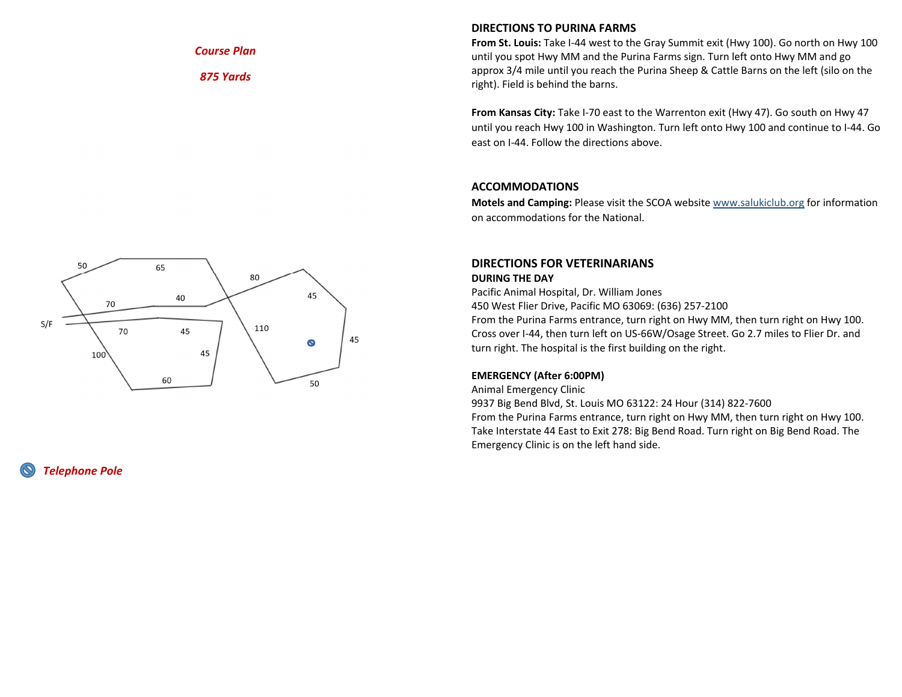*Course Plan*

*875 Yards*

# **DIRECTIONS TO PURINA FARMS**

**From St. Louis:** Take I‐44 west to the Gray Summit exit (Hwy 100). Go north on Hwy 100 until you spot Hwy MM and the Purina Farms sign. Turn left onto Hwy MM and go approx 3/4 mile until you reach the Purina Sheep & Cattle Barns on the left (silo on the right). Field is behind the barns.

**From Kansas City:** Take I‐70 east to the Warrenton exit (Hwy 47). Go south on Hwy 47 until you reach Hwy 100 in Washington. Turn left onto Hwy 100 and continue to I‐44. Go east on I‐44. Follow the directions above.

# **ACCOMMODATIONS**

**Motels and Camping:** Please visit the SCOA website www.salukiclub.org for information on accommodations for the National.



# *Telephone Pole*

# **DIRECTIONS FOR VETERINARIANS DURING THE DAY**

Pacific Animal Hospital, Dr. William Jones

450 West Flier Drive, Pacific MO 63069: (636) 257‐2100

From the Purina Farms entrance, turn right on Hwy MM, then turn right on Hwy 100. Cross over I‐44, then turn left on US‐66W/Osage Street. Go 2.7 miles to Flier Dr. and turn right. The hospital is the first building on the right.

## **EMERGENCY (After 6:00PM)**

Animal Emergency Clinic

9937 Big Bend Blvd, St. Louis MO 63122: 24 Hour (314) 822‐7600 From the Purina Farms entrance, turn right on Hwy MM, then turn right on Hwy 100. Take Interstate 44 East to Exit 278: Big Bend Road. Turn right on Big Bend Road. The Emergency Clinic is on the left hand side.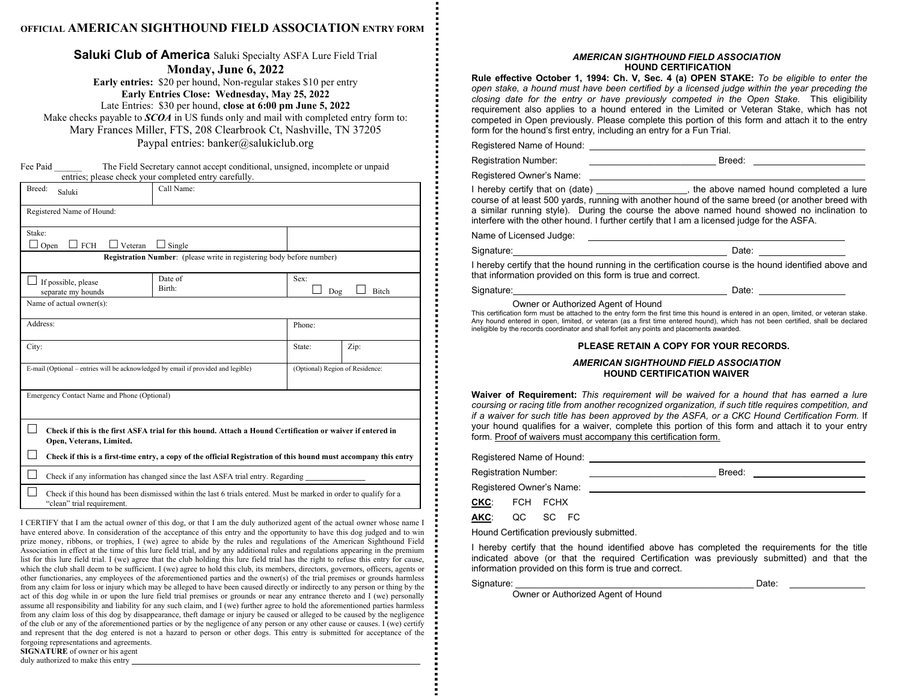# **OFFICIAL AMERICAN SIGHTHOUND FIELD ASSOCIATION ENTRY FORM**

**Saluki Club of America** Saluki Specialty ASFA Lure Field Trial

**Monday, June 6, 2022** 

**Early entries:** \$20 per hound, Non-regular stakes \$10 per entry **Early Entries Close: Wednesday, May 25, 2022** Late Entries: \$30 per hound, **close at 6:00 pm June 5, 2022** Make checks payable to *SCOA* in US funds only and mail with completed entry form to: Mary Frances Miller, FTS, 208 Clearbrook Ct, Nashville, TN 37205 Paypal entries: banker@salukiclub.org

Fee Paid The Field Secretary cannot accept conditional, unsigned, incomplete or unpaid entries; please check your completed entry carefully.

| Breed:<br>Saluki                                                                                                                                | Call Name:                                       |                                 |  |  |  |
|-------------------------------------------------------------------------------------------------------------------------------------------------|--------------------------------------------------|---------------------------------|--|--|--|
| Registered Name of Hound:                                                                                                                       |                                                  |                                 |  |  |  |
| Stake:<br><b>FCH</b><br>Veteran<br>Open                                                                                                         | Single                                           |                                 |  |  |  |
| Registration Number: (please write in registering body before number)                                                                           |                                                  |                                 |  |  |  |
| If possible, please<br>separate my hounds                                                                                                       | Date of<br>Sex:<br>Birth:<br><b>Bitch</b><br>Dog |                                 |  |  |  |
| Name of actual owner(s):                                                                                                                        |                                                  |                                 |  |  |  |
| Address:                                                                                                                                        |                                                  | Phone:                          |  |  |  |
| City:                                                                                                                                           | State:                                           | Zip:                            |  |  |  |
| E-mail (Optional – entries will be acknowledged by email if provided and legible)                                                               |                                                  | (Optional) Region of Residence: |  |  |  |
| Emergency Contact Name and Phone (Optional)                                                                                                     |                                                  |                                 |  |  |  |
| Check if this is the first ASFA trial for this hound. Attach a Hound Certification or waiver if entered in<br>Open, Veterans, Limited.          |                                                  |                                 |  |  |  |
| Check if this is a first-time entry, a copy of the official Registration of this hound must accompany this entry                                |                                                  |                                 |  |  |  |
| Check if any information has changed since the last ASFA trial entry. Regarding                                                                 |                                                  |                                 |  |  |  |
| Check if this hound has been dismissed within the last 6 trials entered. Must be marked in order to qualify for a<br>"clean" trial requirement. |                                                  |                                 |  |  |  |

I CERTIFY that I am the actual owner of this dog, or that I am the duly authorized agent of the actual owner whose name I have entered above. In consideration of the acceptance of this entry and the opportunity to have this dog judged and to win prize money, ribbons, or trophies, I (we) agree to abide by the rules and regulations of the American Sighthound Field Association in effect at the time of this lure field trial, and by any additional rules and regulations appearing in the premium list for this lure field trial. I (we) agree that the club holding this lure field trial has the right to refuse this entry for cause, which the club shall deem to be sufficient. I (we) agree to hold this club, its members, directors, governors, officers, agents or other functionaries, any employees of the aforementioned parties and the owner(s) of the trial premises or grounds harmless from any claim for loss or injury which may be alleged to have been caused directly or indirectly to any person or thing by the act of this dog while in or upon the lure field trial premises or grounds or near any entrance thereto and I (we) personally assume all responsibility and liability for any such claim, and I (we) further agree to hold the aforementioned parties harmless from any claim loss of this dog by disappearance, theft damage or injury be caused or alleged to be caused by the negligence of the club or any of the aforementioned parties or by the negligence of any person or any other cause or causes. I (we) certify and represent that the dog entered is not a hazard to person or other dogs. This entry is submitted for acceptance of the forgoing representations and agreements. **SIGNATURE** of owner or his agent duly authorized to make this entry

#### *AMERICAN SIGHTHOUND FIELD ASSOCIATION*  **HOUND CERTIFICATION**

**Rule effective October 1, 1994: Ch. V, Sec. 4 (a) OPEN STAKE:** *To be eligible to enter the open stake, a hound must have been certified by a licensed judge within the year preceding the closing date for the entry or have previously competed in the Open Stake.* This eligibility requirement also applies to a hound entered in the Limited or Veteran Stake, which has not competed in Open previously. Please complete this portion of this form and attach it to the entry form for the hound's first entry, including an entry for a Fun Trial.

Registered Name of Hound:

Registration Number: <br>
Registration Number:

Registered Owner's Name:

I hereby certify that on (date) \_\_\_\_\_\_\_\_\_\_\_\_\_\_\_\_\_\_, the above named hound completed a lure course of at least 500 yards, running with another hound of the same breed (or another breed with a similar running style). During the course the above named hound showed no inclination to interfere with the other hound. I further certify that I am a licensed judge for the ASFA.

Name of Licensed Judge:

Signature: 2008 Contract and Contract and Contract and Contract and Contract and Contract and Contract and Contract and Contract and Contract and Contract and Contract and Contract and Contract and Contract and Contract an

I hereby certify that the hound running in the certification course is the hound identified above and that information provided on this form is true and correct.

| Signature: | Date∶ |  |
|------------|-------|--|
|            |       |  |

Owner or Authorized Agent of Hound This certification form must be attached to the entry form the first time this hound is entered in an open, limited, or veteran stake. Any hound entered in open, limited, or veteran (as a first time entered hound), which has not been certified, shall be declared ineligible by the records coordinator and shall forfeit any points and placements awarded.

#### **PLEASE RETAIN A COPY FOR YOUR RECORDS.**

#### *AMERICAN SIGHTHOUND FIELD ASSOCIATION* **HOUND CERTIFICATION WAIVER**

**Waiver of Requirement:** *This requirement will be waived for a hound that has earned a lure coursing or racing title from another recognized organization, if such title requires competition, and if a waiver for such title has been approved by the ASFA, or a CKC Hound Certification Form.* If your hound qualifies for a waiver, complete this portion of this form and attach it to your entry form. Proof of waivers must accompany this certification form.

Registered Name of Hound: Registration Number: example and the set of the Breed: Registered Owner's Name: **CKC**: FCH FCHX

**AKC**: QC SC FC

Hound Certification previously submitted.

I hereby certify that the hound identified above has completed the requirements for the title indicated above (or that the required Certification was previously submitted) and that the information provided on this form is true and correct.

Signature: \_\_\_\_\_\_\_\_\_\_\_\_\_\_\_\_\_\_\_\_\_\_\_\_\_\_\_\_\_\_\_\_\_\_\_\_\_\_\_\_\_\_\_\_\_\_\_ Date:

Owner or Authorized Agent of Hound